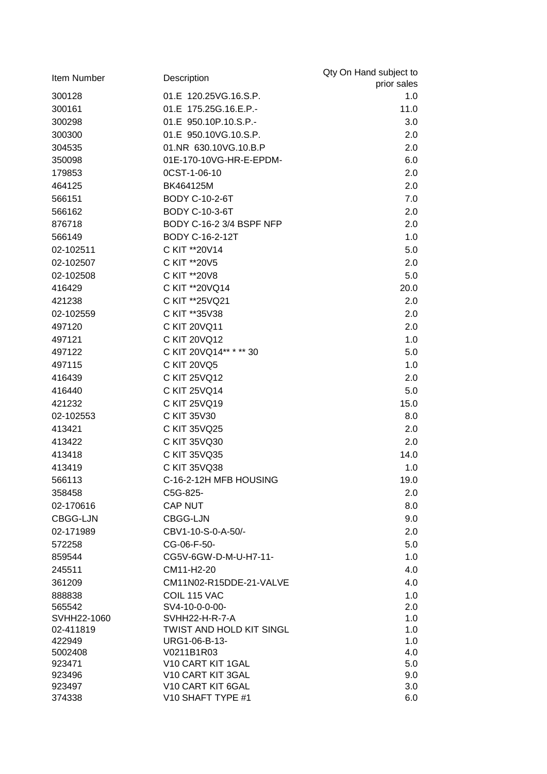| Item Number      | Description                            | Qty On Hand subject to |
|------------------|----------------------------------------|------------------------|
|                  |                                        | prior sales            |
| 300128           | 01.E 120.25VG.16.S.P.                  | 1.0                    |
| 300161           | 01.E 175.25G.16.E.P.-                  | 11.0                   |
| 300298           | 01.E 950.10P.10.S.P.-                  | 3.0                    |
| 300300           | 01.E 950.10VG.10.S.P.                  | 2.0                    |
| 304535           | 01.NR 630.10VG.10.B.P                  | 2.0                    |
| 350098           | 01E-170-10VG-HR-E-EPDM-                | 6.0                    |
| 179853           | 0CST-1-06-10                           | 2.0                    |
| 464125           | BK464125M                              | 2.0                    |
| 566151           | <b>BODY C-10-2-6T</b>                  | 7.0                    |
| 566162           | <b>BODY C-10-3-6T</b>                  | 2.0                    |
| 876718           | BODY C-16-2 3/4 BSPF NFP               | 2.0                    |
| 566149           | BODY C-16-2-12T                        | 1.0                    |
| 02-102511        | C KIT ** 20 V14                        | 5.0                    |
| 02-102507        | C KIT **20V5                           | 2.0                    |
| 02-102508        | C KIT ** 20 V8                         | 5.0                    |
| 416429           | C KIT ** 20 VQ 14                      | 20.0                   |
| 421238           | C KIT **25VQ21                         | 2.0                    |
| 02-102559        | C KIT ** 35 V 38                       | 2.0                    |
| 497120           | C KIT 20VQ11                           | 2.0                    |
| 497121           | C KIT 20VQ12                           | 1.0                    |
|                  | C KIT 20VQ14** * ** 30                 | 5.0                    |
| 497122           |                                        |                        |
| 497115           | C KIT 20VQ5                            | 1.0                    |
| 416439           | C KIT 25VQ12                           | 2.0                    |
| 416440           | C KIT 25VQ14                           | 5.0                    |
| 421232           | C KIT 25VQ19                           | 15.0                   |
| 02-102553        | C KIT 35V30                            | 8.0                    |
| 413421           | C KIT 35VQ25                           | 2.0                    |
| 413422           | C KIT 35VQ30                           | 2.0                    |
| 413418           | C KIT 35VQ35                           | 14.0                   |
| 413419           | C KIT 35VQ38                           | 1.0                    |
| 566113           | C-16-2-12H MFB HOUSING                 | 19.0                   |
| 358458           | C5G-825-                               | 2.0                    |
| 02-170616        | <b>CAP NUT</b>                         | 8.0                    |
| CBGG-LJN         | CBGG-LJN                               | 9.0                    |
| 02-171989        | CBV1-10-S-0-A-50/-                     | 2.0                    |
| 572258           | CG-06-F-50-                            | 5.0                    |
| 859544           | CG5V-6GW-D-M-U-H7-11-                  | 1.0                    |
| 245511           | CM11-H2-20                             | 4.0                    |
| 361209           | CM11N02-R15DDE-21-VALVE                | 4.0                    |
| 888838           | COIL 115 VAC                           | 1.0                    |
| 565542           | SV4-10-0-0-00-                         | 2.0                    |
| SVHH22-1060      | SVHH22-H-R-7-A                         | 1.0                    |
| 02-411819        | <b>TWIST AND HOLD KIT SINGL</b>        | 1.0                    |
| 422949           | URG1-06-B-13-                          | 1.0                    |
| 5002408          | V0211B1R03                             | 4.0                    |
| 923471<br>923496 | V10 CART KIT 1GAL<br>V10 CART KIT 3GAL | 5.0<br>9.0             |
| 923497           | V10 CART KIT 6GAL                      | 3.0                    |
| 374338           | V10 SHAFT TYPE #1                      | 6.0                    |
|                  |                                        |                        |